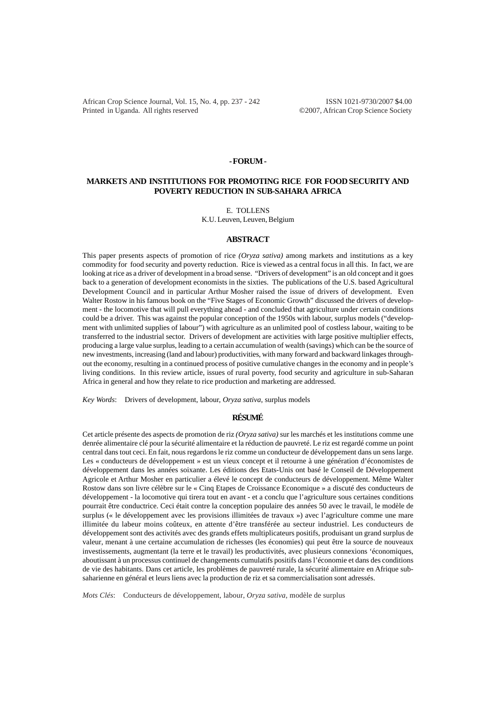African Crop Science Journal, Vol. 15, No. 4, pp. 237 - 242 ISSN 1021-9730/2007 \$4.00 Printed in Uganda. All rights reserved ©2007, African Crop Science Society

#### **- FORUM -**

# **MARKETS AND INSTITUTIONS FOR PROMOTING RICE FOR FOOD SECURITY AND POVERTY REDUCTION IN SUB-SAHARA AFRICA**

E. TOLLENS

K.U. Leuven, Leuven, Belgium

### **ABSTRACT**

This paper presents aspects of promotion of rice *(Oryza sativa)* among markets and institutions as a key commodity for food security and poverty reduction. Rice is viewed as a central focus in all this. In fact, we are looking at rice as a driver of development in a broad sense. "Drivers of development" is an old concept and it goes back to a generation of development economists in the sixties. The publications of the U.S. based Agricultural Development Council and in particular Arthur Mosher raised the issue of drivers of development. Even Walter Rostow in his famous book on the "Five Stages of Economic Growth" discussed the drivers of development - the locomotive that will pull everything ahead - and concluded that agriculture under certain conditions could be a driver. This was against the popular conception of the 1950s with labour, surplus models ("development with unlimited supplies of labour") with agriculture as an unlimited pool of costless labour, waiting to be transferred to the industrial sector. Drivers of development are activities with large positive multiplier effects, producing a large value surplus, leading to a certain accumulation of wealth (savings) which can be the source of new investments, increasing (land and labour) productivities, with many forward and backward linkages throughout the economy, resulting in a continued process of positive cumulative changes in the economy and in people's living conditions. In this review article, issues of rural poverty, food security and agriculture in sub-Saharan Africa in general and how they relate to rice production and marketing are addressed.

*Key Words*: Drivers of development, labour, *Oryza sativa*, surplus models

### **RÉSUMÉ**

Cet article présente des aspects de promotion de riz *(Oryza sativa)* sur les marchés et les institutions comme une denrée alimentaire clé pour la sécurité alimentaire et la réduction de pauvreté. Le riz est regardé comme un point central dans tout ceci. En fait, nous regardons le riz comme un conducteur de développement dans un sens large. Les « conducteurs de développement » est un vieux concept et il retourne à une génération d'économistes de développement dans les années soixante. Les éditions des Etats-Unis ont basé le Conseil de Développement Agricole et Arthur Mosher en particulier a élevé le concept de conducteurs de développement. Même Walter Rostow dans son livre célèbre sur le « Cinq Etapes de Croissance Economique » a discuté des conducteurs de développement - la locomotive qui tirera tout en avant - et a conclu que l'agriculture sous certaines conditions pourrait être conductrice. Ceci était contre la conception populaire des années 50 avec le travail, le modèle de surplus (« le développement avec les provisions illimitées de travaux ») avec l'agriculture comme une mare illimitée du labeur moins coûteux, en attente d'être transférée au secteur industriel. Les conducteurs de développement sont des activités avec des grands effets multiplicateurs positifs, produisant un grand surplus de valeur, menant à une certaine accumulation de richesses (les économies) qui peut être la source de nouveaux investissements, augmentant (la terre et le travail) les productivités, avec plusieurs connexions 'économiques, aboutissant à un processus continuel de changements cumulatifs positifs dans l'économie et dans des conditions de vie des habitants. Dans cet article, les problèmes de pauvreté rurale, la sécurité alimentaire en Afrique subsaharienne en général et leurs liens avec la production de riz et sa commercialisation sont adressés.

*Mots Clés*: Conducteurs de développement, labour, *Oryza sativa*, modèle de surplus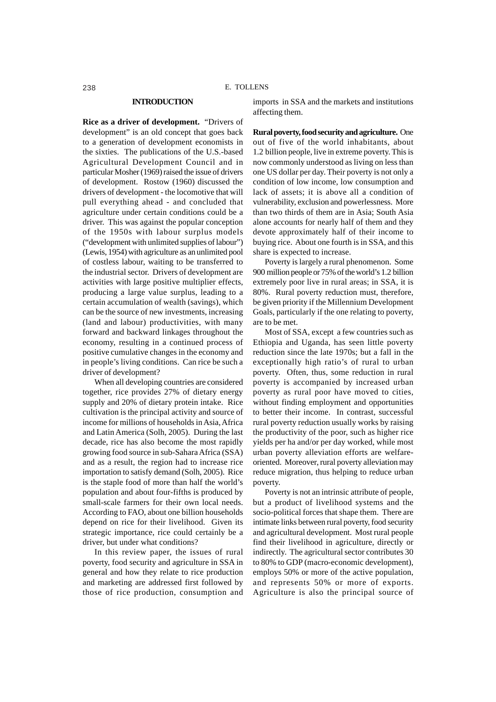# **INTRODUCTION**

**Rice as a driver of development.** "Drivers of development" is an old concept that goes back to a generation of development economists in the sixties. The publications of the U.S.-based Agricultural Development Council and in particular Mosher (1969) raised the issue of drivers of development. Rostow (1960) discussed the drivers of development - the locomotive that will pull everything ahead - and concluded that agriculture under certain conditions could be a driver. This was against the popular conception of the 1950s with labour surplus models ("development with unlimited supplies of labour") (Lewis, 1954) with agriculture as an unlimited pool of costless labour, waiting to be transferred to the industrial sector. Drivers of development are activities with large positive multiplier effects, producing a large value surplus, leading to a certain accumulation of wealth (savings), which can be the source of new investments, increasing (land and labour) productivities, with many forward and backward linkages throughout the economy, resulting in a continued process of positive cumulative changes in the economy and in people's living conditions. Can rice be such a driver of development?

When all developing countries are considered together, rice provides 27% of dietary energy supply and 20% of dietary protein intake. Rice cultivation is the principal activity and source of income for millions of households in Asia, Africa and Latin America (Solh, 2005). During the last decade, rice has also become the most rapidly growing food source in sub-Sahara Africa (SSA) and as a result, the region had to increase rice importation to satisfy demand (Solh, 2005). Rice is the staple food of more than half the world's population and about four-fifths is produced by small-scale farmers for their own local needs. According to FAO, about one billion households depend on rice for their livelihood. Given its strategic importance, rice could certainly be a driver, but under what conditions?

In this review paper, the issues of rural poverty, food security and agriculture in SSA in general and how they relate to rice production and marketing are addressed first followed by those of rice production, consumption and imports in SSA and the markets and institutions affecting them.

**Rural poverty, food security and agriculture.** One out of five of the world inhabitants, about 1.2 billion people, live in extreme poverty. This is now commonly understood as living on less than one US dollar per day. Their poverty is not only a condition of low income, low consumption and lack of assets; it is above all a condition of vulnerability, exclusion and powerlessness. More than two thirds of them are in Asia; South Asia alone accounts for nearly half of them and they devote approximately half of their income to buying rice. About one fourth is in SSA, and this share is expected to increase.

Poverty is largely a rural phenomenon. Some 900 million people or 75% of the world's 1.2 billion extremely poor live in rural areas; in SSA, it is 80%. Rural poverty reduction must, therefore, be given priority if the Millennium Development Goals, particularly if the one relating to poverty, are to be met.

Most of SSA, except a few countries such as Ethiopia and Uganda, has seen little poverty reduction since the late 1970s; but a fall in the exceptionally high ratio's of rural to urban poverty. Often, thus, some reduction in rural poverty is accompanied by increased urban poverty as rural poor have moved to cities, without finding employment and opportunities to better their income. In contrast, successful rural poverty reduction usually works by raising the productivity of the poor, such as higher rice yields per ha and/or per day worked, while most urban poverty alleviation efforts are welfareoriented. Moreover, rural poverty alleviation may reduce migration, thus helping to reduce urban poverty.

Poverty is not an intrinsic attribute of people, but a product of livelihood systems and the socio-political forces that shape them. There are intimate links between rural poverty, food security and agricultural development. Most rural people find their livelihood in agriculture, directly or indirectly. The agricultural sector contributes 30 to 80% to GDP (macro-economic development), employs 50% or more of the active population, and represents 50% or more of exports. Agriculture is also the principal source of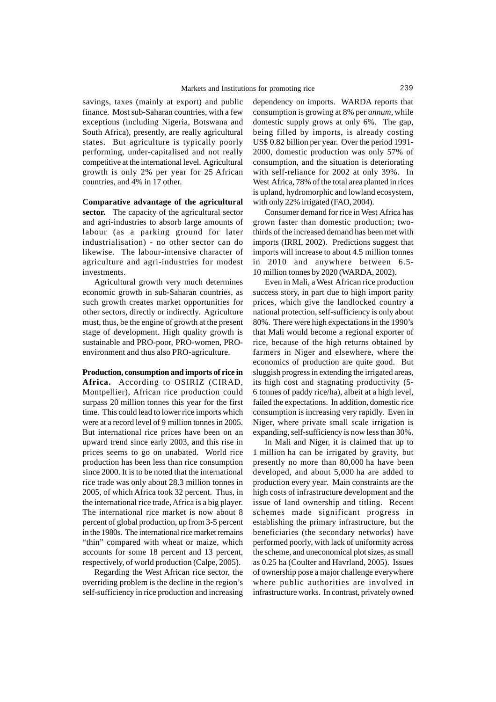savings, taxes (mainly at export) and public finance. Most sub-Saharan countries, with a few exceptions (including Nigeria, Botswana and South Africa), presently, are really agricultural states. But agriculture is typically poorly performing, under-capitalised and not really competitive at the international level. Agricultural growth is only 2% per year for 25 African countries, and 4% in 17 other.

**Comparative advantage of the agricultural sector.** The capacity of the agricultural sector and agri-industries to absorb large amounts of labour (as a parking ground for later industrialisation) - no other sector can do likewise. The labour-intensive character of agriculture and agri-industries for modest investments.

Agricultural growth very much determines economic growth in sub-Saharan countries, as such growth creates market opportunities for other sectors, directly or indirectly. Agriculture must, thus, be the engine of growth at the present stage of development. High quality growth is sustainable and PRO-poor, PRO-women, PROenvironment and thus also PRO-agriculture.

**Production, consumption and imports of rice in Africa.** According to OSIRIZ (CIRAD, Montpellier), African rice production could surpass 20 million tonnes this year for the first time. This could lead to lower rice imports which were at a record level of 9 million tonnes in 2005. But international rice prices have been on an upward trend since early 2003, and this rise in prices seems to go on unabated. World rice production has been less than rice consumption since 2000. It is to be noted that the international rice trade was only about 28.3 million tonnes in 2005, of which Africa took 32 percent. Thus, in the international rice trade, Africa is a big player. The international rice market is now about 8 percent of global production, up from 3-5 percent in the 1980s. The international rice market remains "thin" compared with wheat or maize, which accounts for some 18 percent and 13 percent, respectively, of world production (Calpe, 2005).

Regarding the West African rice sector, the overriding problem is the decline in the region's self-sufficiency in rice production and increasing

dependency on imports. WARDA reports that consumption is growing at 8% per *annum,* while domestic supply grows at only 6%. The gap, being filled by imports, is already costing US\$ 0.82 billion per year. Over the period 1991- 2000, domestic production was only 57% of consumption, and the situation is deteriorating with self-reliance for 2002 at only 39%. In West Africa, 78% of the total area planted in rices is upland, hydromorphic and lowland ecosystem, with only 22% irrigated (FAO, 2004).

Consumer demand for rice in West Africa has grown faster than domestic production; twothirds of the increased demand has been met with imports (IRRI, 2002). Predictions suggest that imports will increase to about 4.5 million tonnes in 2010 and anywhere between 6.5- 10 million tonnes by 2020 (WARDA, 2002).

Even in Mali, a West African rice production success story, in part due to high import parity prices, which give the landlocked country a national protection, self-sufficiency is only about 80%. There were high expectations in the 1990's that Mali would become a regional exporter of rice, because of the high returns obtained by farmers in Niger and elsewhere, where the economics of production are quite good. But sluggish progress in extending the irrigated areas, its high cost and stagnating productivity (5- 6 tonnes of paddy rice/ha), albeit at a high level, failed the expectations. In addition, domestic rice consumption is increasing very rapidly. Even in Niger, where private small scale irrigation is expanding, self-sufficiency is now less than 30%.

In Mali and Niger, it is claimed that up to 1 million ha can be irrigated by gravity, but presently no more than 80,000 ha have been developed, and about 5,000 ha are added to production every year. Main constraints are the high costs of infrastructure development and the issue of land ownership and titling. Recent schemes made significant progress in establishing the primary infrastructure, but the beneficiaries (the secondary networks) have performed poorly, with lack of uniformity across the scheme, and uneconomical plot sizes, as small as 0.25 ha (Coulter and Havrland, 2005). Issues of ownership pose a major challenge everywhere where public authorities are involved in infrastructure works. In contrast, privately owned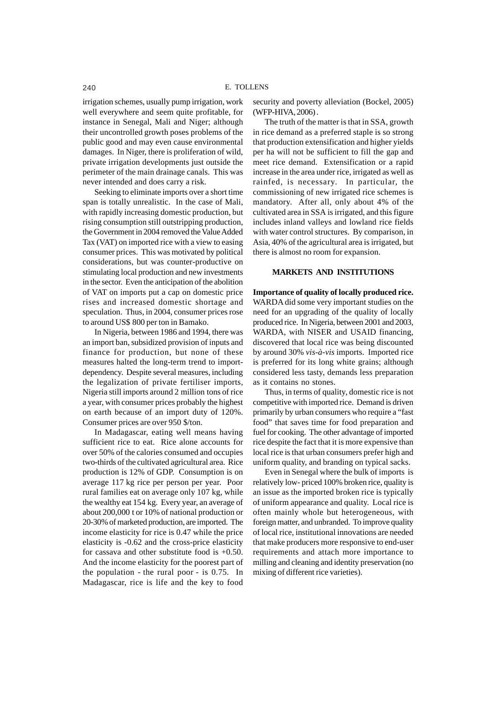irrigation schemes, usually pump irrigation, work well everywhere and seem quite profitable, for instance in Senegal, Mali and Niger; although their uncontrolled growth poses problems of the public good and may even cause environmental damages. In Niger, there is proliferation of wild, private irrigation developments just outside the perimeter of the main drainage canals. This was never intended and does carry a risk.

Seeking to eliminate imports over a short time span is totally unrealistic. In the case of Mali, with rapidly increasing domestic production, but rising consumption still outstripping production, the Government in 2004 removed the Value Added Tax (VAT) on imported rice with a view to easing consumer prices. This was motivated by political considerations, but was counter-productive on stimulating local production and new investments in the sector. Even the anticipation of the abolition of VAT on imports put a cap on domestic price rises and increased domestic shortage and speculation. Thus, in 2004, consumer prices rose to around US\$ 800 per ton in Bamako.

In Nigeria, between 1986 and 1994, there was an import ban, subsidized provision of inputs and finance for production, but none of these measures halted the long-term trend to importdependency. Despite several measures, including the legalization of private fertiliser imports, Nigeria still imports around 2 million tons of rice a year, with consumer prices probably the highest on earth because of an import duty of 120%. Consumer prices are over 950 \$/ton.

In Madagascar, eating well means having sufficient rice to eat. Rice alone accounts for over 50% of the calories consumed and occupies two-thirds of the cultivated agricultural area. Rice production is 12% of GDP. Consumption is on average 117 kg rice per person per year. Poor rural families eat on average only 107 kg, while the wealthy eat 154 kg. Every year, an average of about 200,000 t or 10% of national production or 20-30% of marketed production, are imported. The income elasticity for rice is 0.47 while the price elasticity is -0.62 and the cross-price elasticity for cassava and other substitute food is +0.50. And the income elasticity for the poorest part of the population - the rural poor - is 0.75. In Madagascar, rice is life and the key to food

security and poverty alleviation (Bockel, 2005) (WFP-HIVA, 2006) .

The truth of the matter is that in SSA, growth in rice demand as a preferred staple is so strong that production extensification and higher yields per ha will not be sufficient to fill the gap and meet rice demand. Extensification or a rapid increase in the area under rice, irrigated as well as rainfed, is necessary. In particular, the commissioning of new irrigated rice schemes is mandatory. After all, only about 4% of the cultivated area in SSA is irrigated, and this figure includes inland valleys and lowland rice fields with water control structures. By comparison, in Asia, 40% of the agricultural area is irrigated, but there is almost no room for expansion.

## **MARKETS AND INSTITUTIONS**

**Importance of quality of locally produced rice.** WARDA did some very important studies on the need for an upgrading of the quality of locally produced rice. In Nigeria, between 2001 and 2003, WARDA, with NISER and USAID financing, discovered that local rice was being discounted by around 30% *vis-à-vis* imports. Imported rice is preferred for its long white grains; although considered less tasty, demands less preparation as it contains no stones.

Thus, in terms of quality, domestic rice is not competitive with imported rice. Demand is driven primarily by urban consumers who require a "fast food" that saves time for food preparation and fuel for cooking. The other advantage of imported rice despite the fact that it is more expensive than local rice is that urban consumers prefer high and uniform quality, and branding on typical sacks.

Even in Senegal where the bulk of imports is relatively low- priced 100% broken rice, quality is an issue as the imported broken rice is typically of uniform appearance and quality. Local rice is often mainly whole but heterogeneous, with foreign matter, and unbranded. To improve quality of local rice, institutional innovations are needed that make producers more responsive to end-user requirements and attach more importance to milling and cleaning and identity preservation (no mixing of different rice varieties).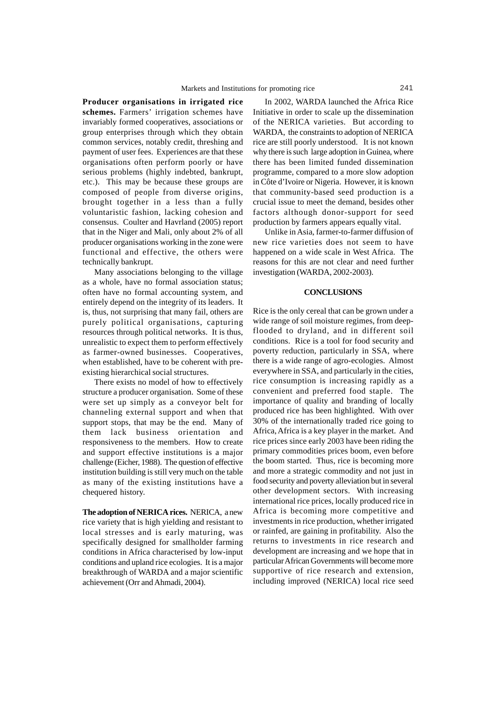**Producer organisations in irrigated rice schemes.** Farmers' irrigation schemes have invariably formed cooperatives, associations or group enterprises through which they obtain common services, notably credit, threshing and payment of user fees. Experiences are that these organisations often perform poorly or have serious problems (highly indebted, bankrupt, etc.). This may be because these groups are composed of people from diverse origins, brought together in a less than a fully voluntaristic fashion, lacking cohesion and consensus. Coulter and Havrland (2005) report that in the Niger and Mali, only about 2% of all producer organisations working in the zone were functional and effective, the others were technically bankrupt.

Many associations belonging to the village as a whole, have no formal association status; often have no formal accounting system, and entirely depend on the integrity of its leaders. It is, thus, not surprising that many fail, others are purely political organisations, capturing resources through political networks. It is thus, unrealistic to expect them to perform effectively as farmer-owned businesses. Cooperatives, when established, have to be coherent with preexisting hierarchical social structures.

There exists no model of how to effectively structure a producer organisation. Some of these were set up simply as a conveyor belt for channeling external support and when that support stops, that may be the end. Many of them lack business orientation and responsiveness to the members. How to create and support effective institutions is a major challenge (Eicher, 1988). The question of effective institution building is still very much on the table as many of the existing institutions have a chequered history.

**The adoption of NERICA rices.** NERICA, a new rice variety that is high yielding and resistant to local stresses and is early maturing, was specifically designed for smallholder farming conditions in Africa characterised by low-input conditions and upland rice ecologies. It is a major breakthrough of WARDA and a major scientific achievement (Orr and Ahmadi, 2004).

In 2002, WARDA launched the Africa Rice Initiative in order to scale up the dissemination of the NERICA varieties. But according to WARDA, the constraints to adoption of NERICA rice are still poorly understood. It is not known why there is such large adoption in Guinea, where there has been limited funded dissemination programme, compared to a more slow adoption in Côte d'Ivoire or Nigeria. However, it is known that community-based seed production is a crucial issue to meet the demand, besides other factors although donor-support for seed production by farmers appears equally vital.

Unlike in Asia, farmer-to-farmer diffusion of new rice varieties does not seem to have happened on a wide scale in West Africa. The reasons for this are not clear and need further investigation (WARDA, 2002-2003).

#### **CONCLUSIONS**

Rice is the only cereal that can be grown under a wide range of soil moisture regimes, from deepflooded to dryland, and in different soil conditions. Rice is a tool for food security and poverty reduction, particularly in SSA, where there is a wide range of agro-ecologies. Almost everywhere in SSA, and particularly in the cities, rice consumption is increasing rapidly as a convenient and preferred food staple. The importance of quality and branding of locally produced rice has been highlighted. With over 30% of the internationally traded rice going to Africa, Africa is a key player in the market. And rice prices since early 2003 have been riding the primary commodities prices boom, even before the boom started. Thus, rice is becoming more and more a strategic commodity and not just in food security and poverty alleviation but in several other development sectors. With increasing international rice prices, locally produced rice in Africa is becoming more competitive and investments in rice production, whether irrigated or rainfed, are gaining in profitability. Also the returns to investments in rice research and development are increasing and we hope that in particular African Governments will become more supportive of rice research and extension, including improved (NERICA) local rice seed